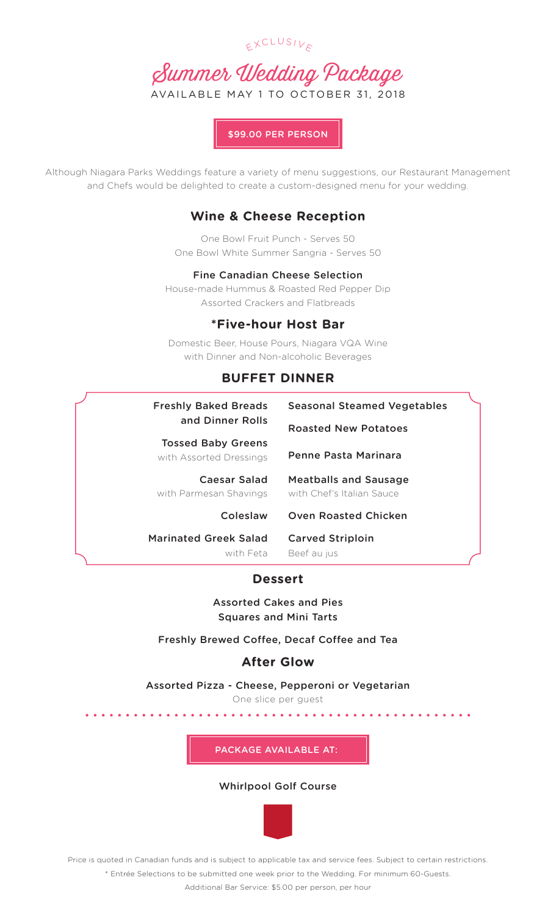



\$99.00 PER PERSON

Although Niagara Parks Weddings feature a variety of menu suggestions, our Restaurant Management and Chefs would be delighted to create a custom-designed menu for your wedding.

# **Wine & Cheese Reception**

One Bowl Fruit Punch - Serves 50 One Bowl White Summer Sangria - Serves 50

## Fine Canadian Cheese Selection

House-made Hummus & Roasted Red Pepper Dip Assorted Crackers and Flatbreads

## **\*Five-hour Host Bar**

Domestic Beer, House Pours, Niagara VQA Wine with Dinner and Non-alcoholic Beverages

## **BUFFET DINNER**

| <b>Freshly Baked Breads</b><br>and Dinner Rolls      | <b>Seasonal Steamed Vegetables</b>                        |
|------------------------------------------------------|-----------------------------------------------------------|
|                                                      | <b>Roasted New Potatoes</b>                               |
| <b>Tossed Baby Greens</b><br>with Assorted Dressings | Penne Pasta Marinara                                      |
| Caesar Salad<br>with Parmesan Shavings               | <b>Meatballs and Sausage</b><br>with Chef's Italian Sauce |
| Coleslaw                                             | <b>Oven Roasted Chicken</b>                               |
| <b>Marinated Greek Salad</b><br>with Feta            | <b>Carved Striploin</b><br>Beef au jus                    |
| <b>Dessert</b>                                       |                                                           |

Assorted Cakes and Pies

Squares and Mini Tarts

Freshly Brewed Coffee, Decaf Coffee and Tea

# **After Glow**

Assorted Pizza - Cheese, Pepperoni or Vegetarian

One slice per guest

PACKAGE AVAILABLE AT:

### Whirlpool Golf Course



Price is quoted in Canadian funds and is subject to applicable tax and service fees. Subject to certain restrictions. \* Entrée Selections to be submitted one week prior to the Wedding. For minimum 60-Guests.

Additional Bar Service: \$5.00 per person, per hour